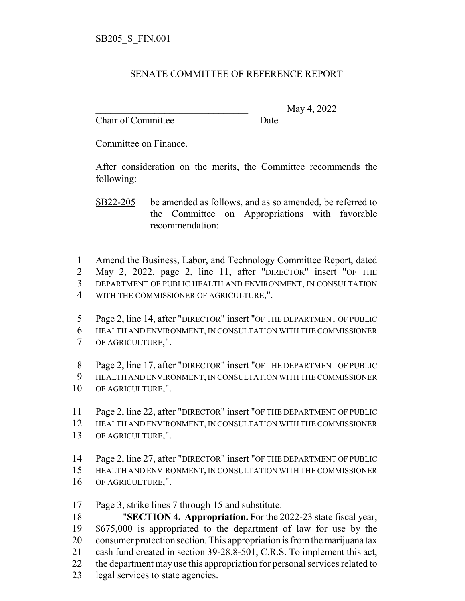## SENATE COMMITTEE OF REFERENCE REPORT

Chair of Committee Date

\_\_\_\_\_\_\_\_\_\_\_\_\_\_\_\_\_\_\_\_\_\_\_\_\_\_\_\_\_\_\_ May 4, 2022

Committee on Finance.

After consideration on the merits, the Committee recommends the following:

SB22-205 be amended as follows, and as so amended, be referred to the Committee on Appropriations with favorable recommendation:

 Amend the Business, Labor, and Technology Committee Report, dated May 2, 2022, page 2, line 11, after "DIRECTOR" insert "OF THE DEPARTMENT OF PUBLIC HEALTH AND ENVIRONMENT, IN CONSULTATION WITH THE COMMISSIONER OF AGRICULTURE,".

 Page 2, line 14, after "DIRECTOR" insert "OF THE DEPARTMENT OF PUBLIC HEALTH AND ENVIRONMENT, IN CONSULTATION WITH THE COMMISSIONER OF AGRICULTURE,".

Page 2, line 17, after "DIRECTOR" insert "OF THE DEPARTMENT OF PUBLIC

HEALTH AND ENVIRONMENT, IN CONSULTATION WITH THE COMMISSIONER

OF AGRICULTURE,".

Page 2, line 22, after "DIRECTOR" insert "OF THE DEPARTMENT OF PUBLIC

- HEALTH AND ENVIRONMENT, IN CONSULTATION WITH THE COMMISSIONER
- OF AGRICULTURE,".
- Page 2, line 27, after "DIRECTOR" insert "OF THE DEPARTMENT OF PUBLIC
- HEALTH AND ENVIRONMENT, IN CONSULTATION WITH THE COMMISSIONER OF AGRICULTURE,".

Page 3, strike lines 7 through 15 and substitute:

 "**SECTION 4. Appropriation.** For the 2022-23 state fiscal year, \$675,000 is appropriated to the department of law for use by the consumer protection section. This appropriation is from the marijuana tax cash fund created in section 39-28.8-501, C.R.S. To implement this act, the department may use this appropriation for personal services related to

legal services to state agencies.